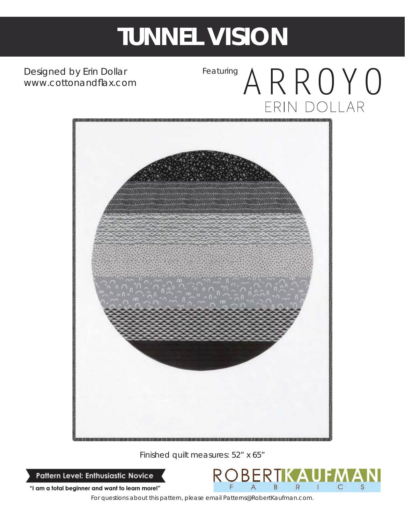## **TUNNEL VISION**

Designed by Erin Dollar *www.cottonandfl ax.com*

### Featuring ARROYO ERIN DOLLAR



Finished quilt measures: 52" x 65"

Pattern Level: Enthusiastic Novice



"I am a total beginner and want to learn more!"

*For questions about this pattern, please email Patterns@RobertKaufman.com.*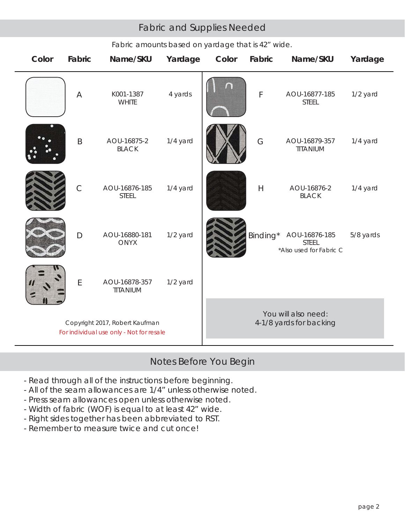#### Fabric and Supplies Needed

| Color                                                                      | Fabric       | Name/SKU                      | Yardage  | Color                                          | Fabric         | Name/SKU                                                 | Yardage   |
|----------------------------------------------------------------------------|--------------|-------------------------------|----------|------------------------------------------------|----------------|----------------------------------------------------------|-----------|
|                                                                            | A            | K001-1387<br><b>WHITE</b>     | 4 yards  |                                                | F              | AOU-16877-185<br><b>STEEL</b>                            | 1/2 yard  |
|                                                                            | $\sf B$      | AOU-16875-2<br><b>BLACK</b>   | 1/4 yard |                                                | G              | AOU-16879-357<br>TITANIUM                                | 1/4 yard  |
|                                                                            | $\mathsf{C}$ | AOU-16876-185<br><b>STEEL</b> | 1/4 yard |                                                | $\overline{H}$ | AOU-16876-2<br><b>BLACK</b>                              | 1/4 yard  |
|                                                                            | $\mathsf{D}$ | AOU-16880-181<br><b>ONYX</b>  | 1/2 yard |                                                | Binding*       | AOU-16876-185<br><b>STEEL</b><br>*Also used for Fabric C | 5/8 yards |
|                                                                            | E            | AOU-16878-357<br>TITANIUM     | 1/2 yard |                                                |                |                                                          |           |
| Copyright 2017, Robert Kaufman<br>For individual use only - Not for resale |              |                               |          | You will also need:<br>4-1/8 yards for backing |                |                                                          |           |

#### *Fabric amounts based on yardage that is 42" wide.*

#### Notes Before You Begin

- Read through all of the instructions before beginning.
- All of the seam allowances are 1/4" unless otherwise noted.
- Press seam allowances open unless otherwise noted.
- Width of fabric (WOF) is equal to at least 42" wide.
- Right sides together has been abbreviated to RST.
- Remember to measure twice and cut once!

 $\overline{\phantom{a}}$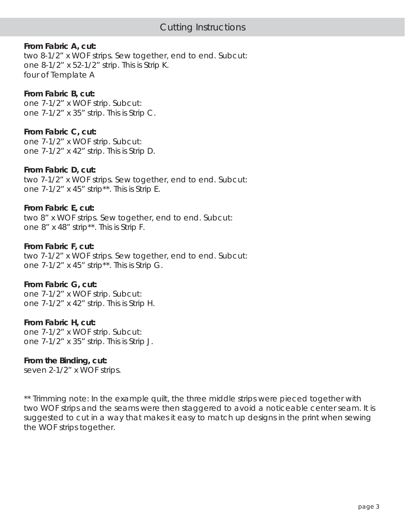#### **From Fabric A, cut:**

two 8-1/2" x WOF strips. Sew together, end to end. Subcut: one 8-1/2" x 52-1/2" strip. This is Strip K. four of Template A

#### **From Fabric B, cut:**

one 7-1/2" x WOF strip. Subcut: one 7-1/2" x 35" strip. This is Strip C.

#### **From Fabric C, cut:**

one 7-1/2" x WOF strip. Subcut: one 7-1/2" x 42" strip. This is Strip D.

#### **From Fabric D, cut:**

two 7-1/2" x WOF strips. Sew together, end to end. Subcut: one 7-1/2" x 45" strip\*\*. This is Strip E.

#### **From Fabric E, cut:**

two 8" x WOF strips. Sew together, end to end. Subcut: one 8" x 48" strip\*\*. This is Strip F.

#### **From Fabric F, cut:**

two 7-1/2" x WOF strips. Sew together, end to end. Subcut: one 7-1/2" x 45" strip\*\*. This is Strip G.

#### **From Fabric G, cut:**

one 7-1/2" x WOF strip. Subcut: one 7-1/2" x 42" strip. This is Strip H.

#### **From Fabric H, cut:**

one 7-1/2" x WOF strip. Subcut: one 7-1/2" x 35" strip. This is Strip J.

#### **From the Binding, cut:**

seven 2-1/2" x WOF strips.

\*\* Trimming note: In the example quilt, the three middle strips were pieced together with two WOF strips and the seams were then staggered to avoid a noticeable center seam. It is suggested to cut in a way that makes it easy to match up designs in the print when sewing the WOF strips together.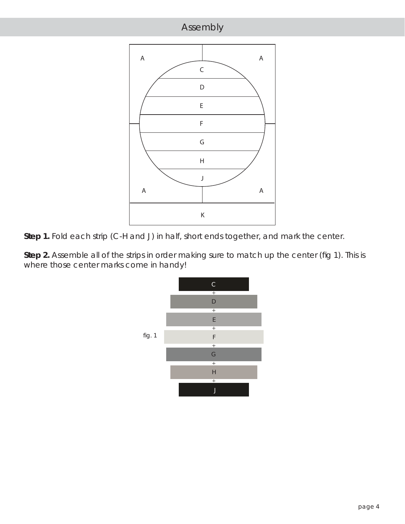

**Step 1.** Fold each strip (C-H and J) in half, short ends together, and mark the center.

Step 2. Assemble all of the strips in order making sure to match up the center (fig 1). This is where those center marks come in handy!

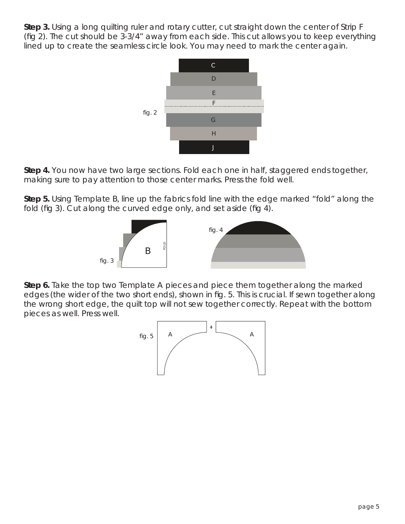**Step 3.** Using a long quilting ruler and rotary cutter, cut straight down the center of Strip F (fig 2). The cut should be  $3-3/4$ " away from each side. This cut allows you to keep everything lined up to create the seamless circle look. You may need to mark the center again.



**Step 4.** You now have two large sections. Fold each one in half, staggered ends together, making sure to pay attention to those center marks. Press the fold well.

**Step 5.** Using Template B, line up the fabrics fold line with the edge marked "fold" along the fold (fig 3). Cut along the curved edge only, and set aside (fig 4).



**Step 6.** Take the top two Template A pieces and piece them together *along the marked edges (the wider of the two short ends)*, shown in fig. 5. This is crucial. If sewn together along the wrong short edge, the quilt top will not sew together correctly. Repeat with the bottom pieces as well. Press well.

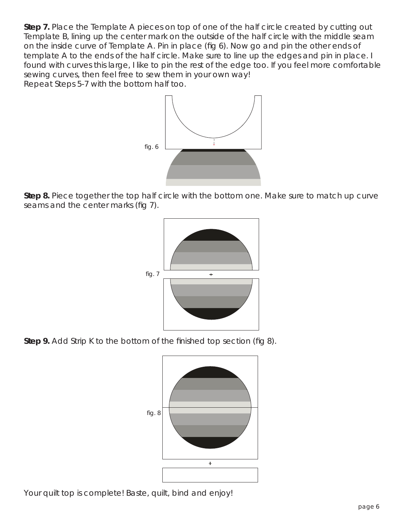**Step 7.** Place the Template A pieces on top of one of the half circle created by cutting out Template B, lining up the center mark on the outside of the half circle with the middle seam on the inside curve of Template A. Pin in place (fig 6). Now go and pin the other ends of template A to the ends of the half circle. Make sure to line up the edges and pin in place. I found with curves this large, I like to pin the rest of the edge too. If you feel more comfortable sewing curves, then feel free to sew them in your own way!

Repeat Steps 5-7 with the bottom half too.



**Step 8.** Piece together the top half circle with the bottom one. Make sure to match up curve seams and the center marks (fig 7).



**Step 9.** Add Strip K to the bottom of the finished top section (fig 8).



Your quilt top is complete! Baste, quilt, bind and enjoy!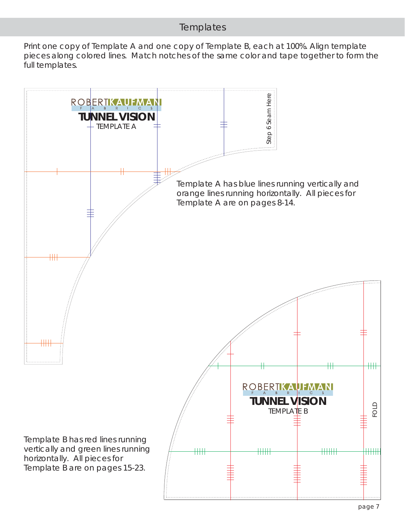#### **Templates**

Print one copy of Template A and one copy of Template B, each at 100%. Align template pieces along colored lines. Match notches of the same color and tape together to form the full templates.

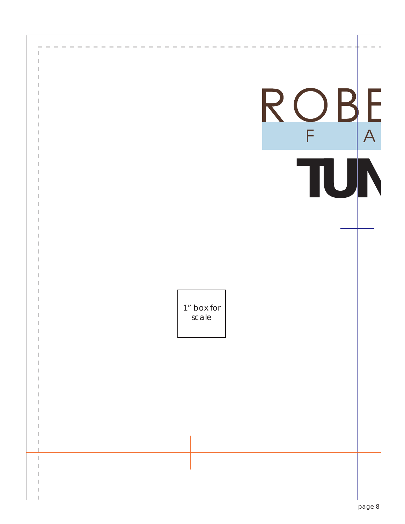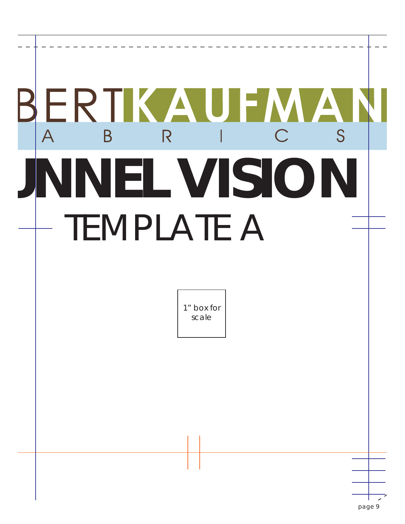# ERTKAUFMA  $\overline{S}$ R  $\overline{\mathsf{A}}$ B  $\bigcap$ **UNNEL VISION** TEMPLATE A 1" box for scale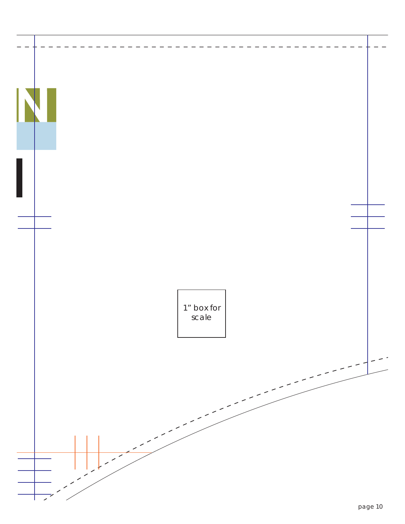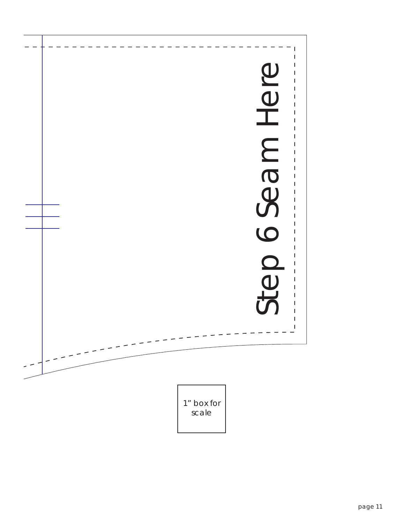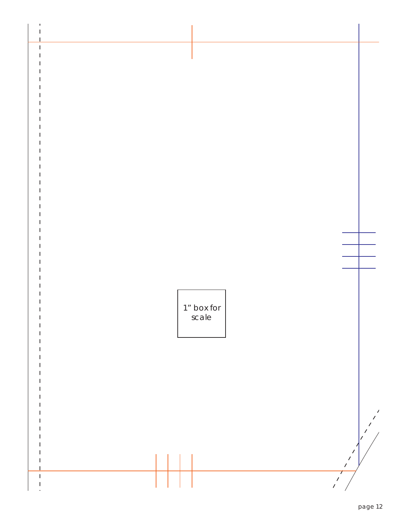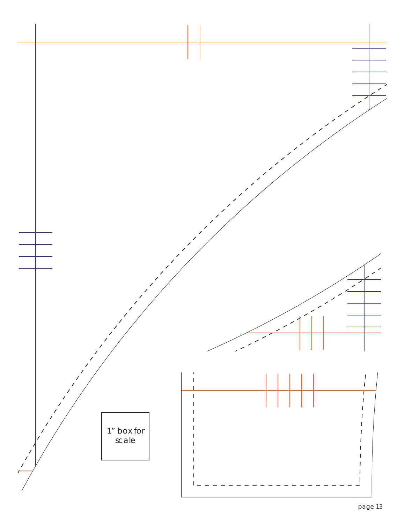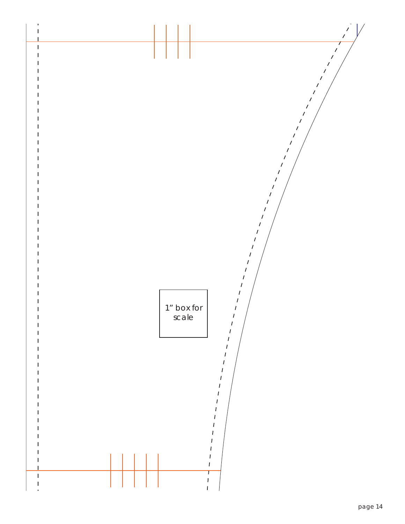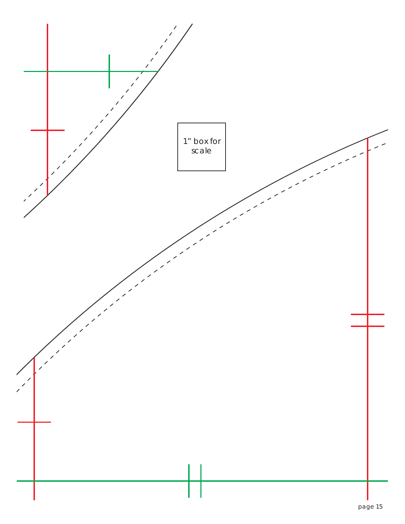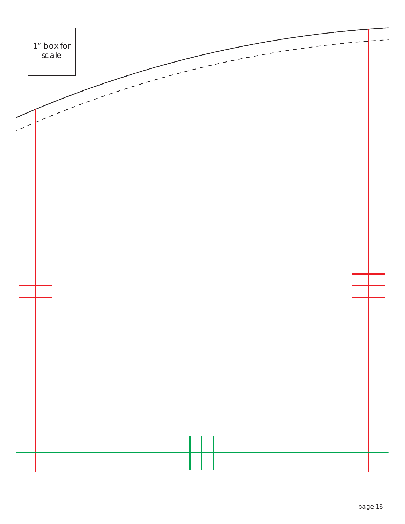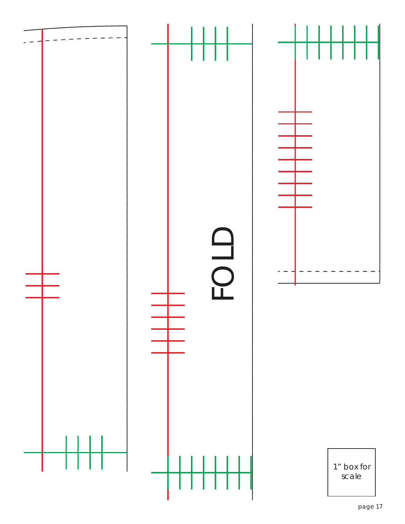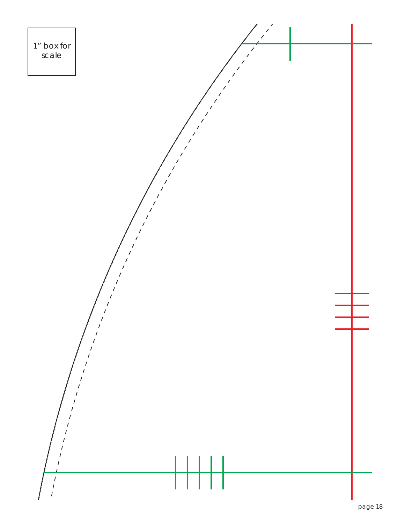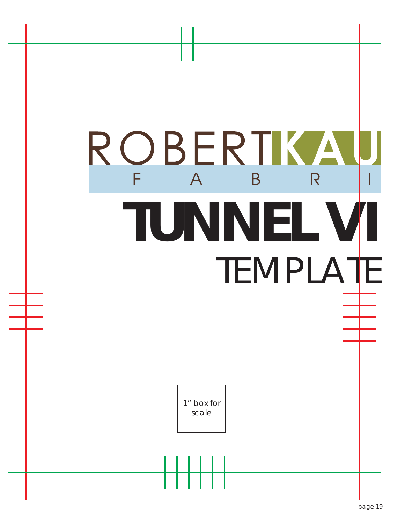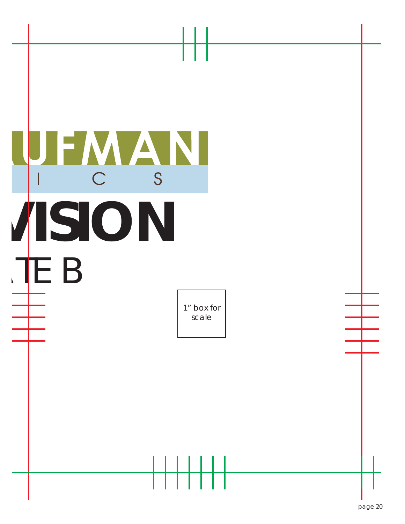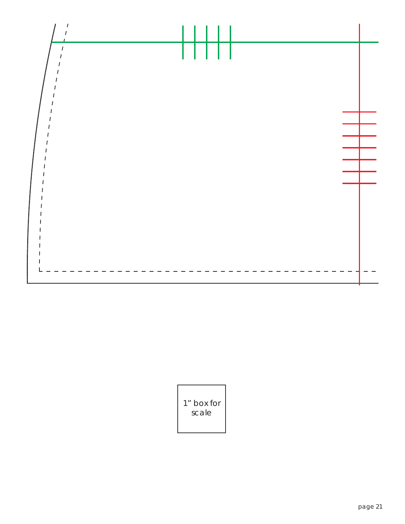

1" box for scale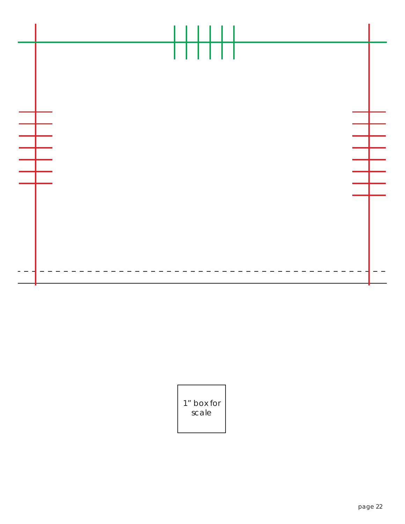

1" box for scale